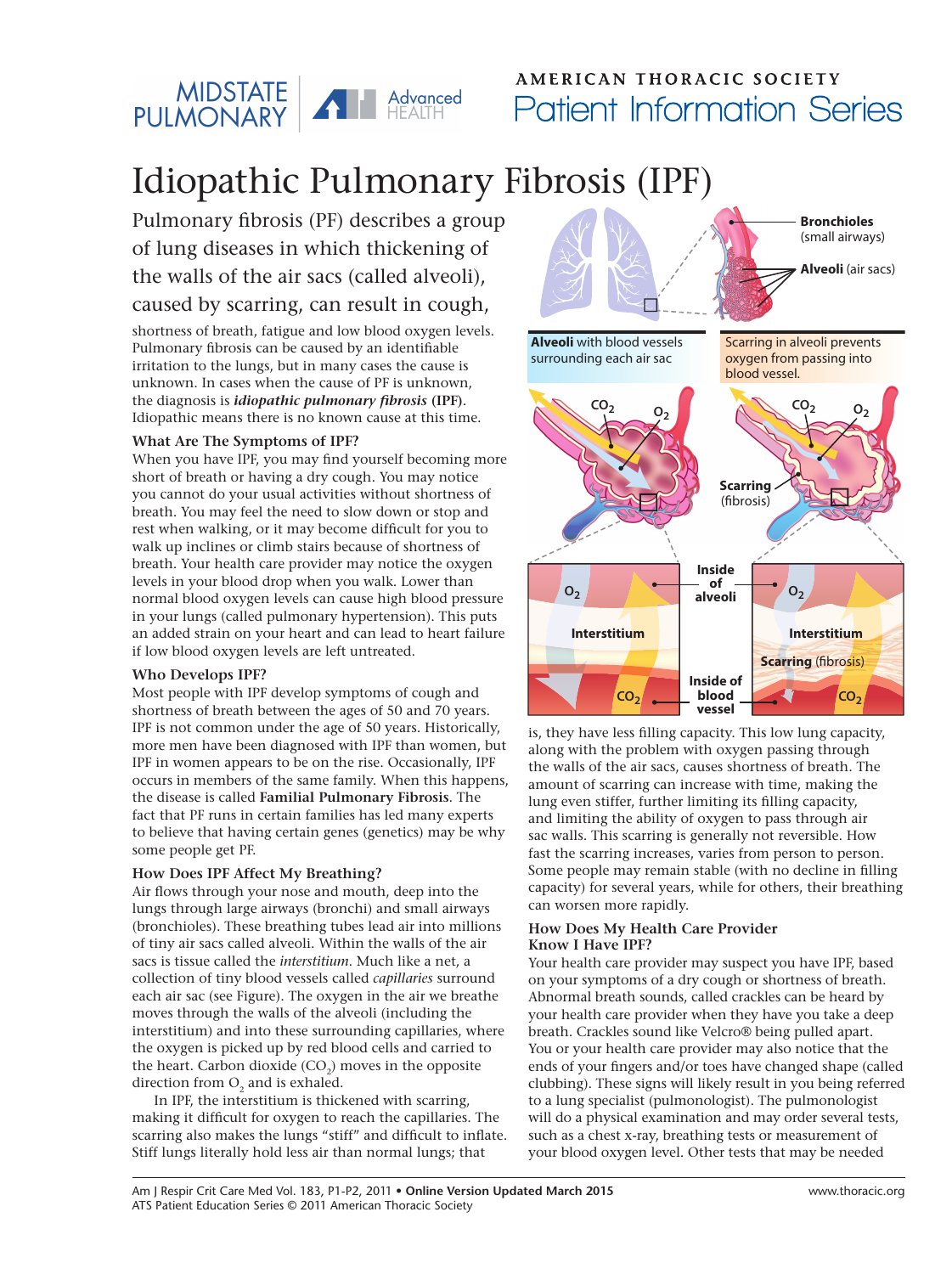

### AMERICAN THORACIC SOCIETY Patient Information Series

## Idiopathic Pulmonary Fibrosis (IPF)

Pulmonary fibrosis (PF) describes a group of lung diseases in which thickening of the walls of the air sacs (called alveoli), caused by scarring, can result in cough,

shortness of breath, fatigue and low blood oxygen levels. Pulmonary fibrosis can be caused by an identifiable irritation to the lungs, but in many cases the cause is unknown. In cases when the cause of PF is unknown, the diagnosis is *idiopathic pulmonary fibrosis* **(IPF)**. Idiopathic means there is no known cause at this time.

#### **What Are The Symptoms of IPF?**

When you have IPF, you may find yourself becoming more short of breath or having a dry cough. You may notice you cannot do your usual activities without shortness of breath. You may feel the need to slow down or stop and rest when walking, or it may become difficult for you to walk up inclines or climb stairs because of shortness of breath. Your health care provider may notice the oxygen levels in your blood drop when you walk. Lower than normal blood oxygen levels can cause high blood pressure in your lungs (called pulmonary hypertension). This puts an added strain on your heart and can lead to heart failure if low blood oxygen levels are left untreated.

#### **Who Develops IPF?**

Most people with IPF develop symptoms of cough and shortness of breath between the ages of 50 and 70 years. IPF is not common under the age of 50 years. Historically, more men have been diagnosed with IPF than women, but IPF in women appears to be on the rise. Occasionally, IPF occurs in members of the same family. When this happens, the disease is called **Familial Pulmonary Fibrosis**. The fact that PF runs in certain families has led many experts to believe that having certain genes (genetics) may be why some people get PF.

#### **How Does IPF Affect My Breathing?**

Air flows through your nose and mouth, deep into the lungs through large airways (bronchi) and small airways (bronchioles). These breathing tubes lead air into millions of tiny air sacs called alveoli. Within the walls of the air sacs is tissue called the *interstitium*. Much like a net, a collection of tiny blood vessels called *capillaries* surround each air sac (see Figure). The oxygen in the air we breathe moves through the walls of the alveoli (including the interstitium) and into these surrounding capillaries, where the oxygen is picked up by red blood cells and carried to the heart. Carbon dioxide  $(CO<sub>2</sub>)$  moves in the opposite direction from  $O<sub>2</sub>$  and is exhaled.

In IPF, the interstitium is thickened with scarring, making it difficult for oxygen to reach the capillaries. The scarring also makes the lungs "stiff" and difficult to inflate. Stiff lungs literally hold less air than normal lungs; that



is, they have less filling capacity. This low lung capacity, along with the problem with oxygen passing through the walls of the air sacs, causes shortness of breath. The amount of scarring can increase with time, making the lung even stiffer, further limiting its filling capacity, and limiting the ability of oxygen to pass through air sac walls. This scarring is generally not reversible. How fast the scarring increases, varies from person to person. Some people may remain stable (with no decline in filling capacity) for several years, while for others, their breathing can worsen more rapidly.

#### **How Does My Health Care Provider Know I Have IPF?**

Your health care provider may suspect you have IPF, based on your symptoms of a dry cough or shortness of breath. Abnormal breath sounds, called crackles can be heard by your health care provider when they have you take a deep breath. Crackles sound like Velcro® being pulled apart. You or your health care provider may also notice that the ends of your fingers and/or toes have changed shape (called clubbing). These signs will likely result in you being referred to a lung specialist (pulmonologist). The pulmonologist will do a physical examination and may order several tests, such as a chest x-ray, breathing tests or measurement of your blood oxygen level. Other tests that may be needed